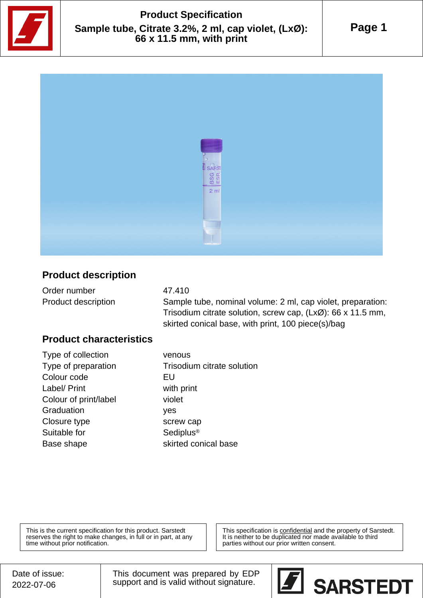

# **Product Specification Sample tube, Citrate 3.2%, 2 ml, cap violet, (LxØ): 66 x 11.5 mm, with print**



## **Product description**

| Order number               | 47.410                                                                 |
|----------------------------|------------------------------------------------------------------------|
| <b>Product description</b> | Sample tube, nominal volume: 2 ml, cap violet, preparation:            |
|                            | Trisodium citrate solution, screw cap, $(Lx\emptyset)$ : 66 x 11.5 mm, |

skirted conical base, with print, 100 piece(s)/bag

#### **Product characteristics**

Type of collection venous Colour code **EU** Label/ Print with print Colour of print/label violet Graduation yes Closure type screw cap Suitable for Sediplus<sup>®</sup> Base shape skirted conical base

Type of preparation Trisodium citrate solution

This is the current specification for this product. Sarstedt reserves the right to make changes, in full or in part, at any time without prior notification.

This specification is **confidential** and the property of Sarstedt. It is neither to be duplicated nor made available to third parties without our prior written consent.

This document was prepared by EDP support and is valid without signature.